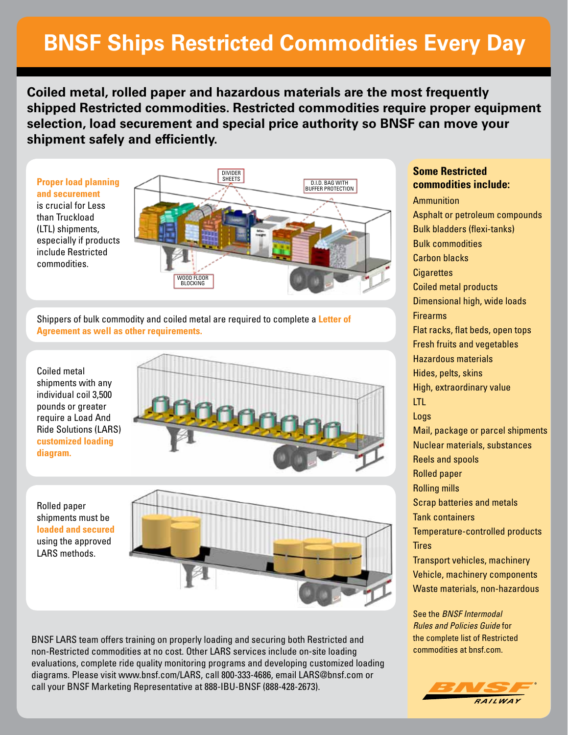## **BNSF Ships Restricted Commodities Every Day**

**Coiled metal, rolled paper and hazardous materials are the most frequently shipped Restricted commodities. Restricted commodities require proper equipment selection, load securement and special price authority so BNSF can move your shipment safely and efficiently.** 

**Proper load planning and securement** is crucial for Less than Truckload (LTL) shipments, especially if products include Restricted commodities.



Shippers of bulk commodity and coiled metal are required to complete a **Letter of Agreement as well as other requirements.**

Coiled metal shipments with any individual coil 3,500 pounds or greater require a Load And Ride Solutions (LARS) **customized loading diagram.**

Rolled paper shipments must be

using the approved LARS methods.



BNSF LARS team offers training on properly loading and securing both Restricted and non-Restricted commodities at no cost. Other LARS services include on-site loading evaluations, complete ride quality monitoring programs and developing customized loading diagrams. Please visit www.bnsf.com/LARS, call 800-333-4686, email LARS@bnsf.com or call your BNSF Marketing Representative at 888-IBU-BNSF (888-428-2673).

Ammunition Asphalt or petroleum compounds Bulk bladders (flexi-tanks) Bulk commodities Carbon blacks **Cigarettes** Coiled metal products Dimensional high, wide loads **Firearms** Flat racks, flat beds, open tops Fresh fruits and vegetables Hazardous materials Hides, pelts, skins High, extraordinary value LTL Logs Mail, package or parcel shipments Nuclear materials, substances Reels and spools Rolled paper Rolling mills Scrap batteries and metals Tank containers Temperature-controlled products **Tires** Transport vehicles, machinery Vehicle, machinery components Waste materials, non-hazardous

**Some Restricted commodities include:** 

See the *BNSF Intermodal Rules and Policies Guide* for the complete list of Restricted commodities at bnsf.com.